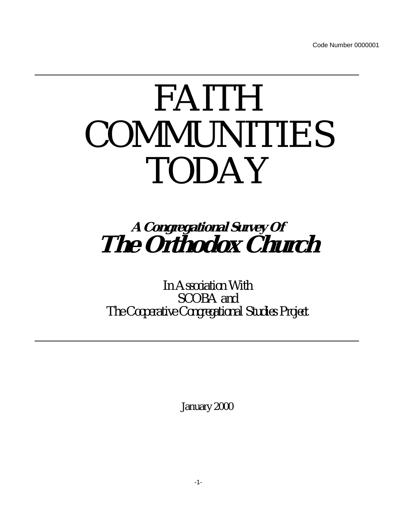# *FAITH COMMUNITIES TODAY*

## **A Congregational Survey Of The Orthodox Church**

*In Association With SCOBA and The Cooperative Congregational Studies Project*

January 2000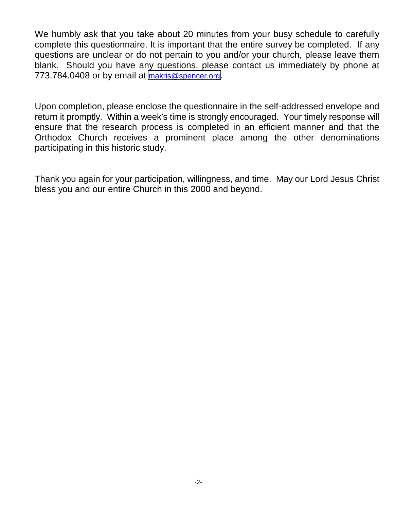We humbly ask that you take about 20 minutes from your busy schedule to carefully complete this questionnaire. It is important that the entire survey be completed. If any questions are unclear or do not pertain to you and/or your church, please leave them blank. Should you have any questions, please contact us immediately by phone at 773.784.0408 or by email at [makris@spencer.org.](mailto:makris@spencer.org)

Upon completion, please enclose the questionnaire in the self-addressed envelope and return it promptly. Within a week's time is strongly encouraged. Your timely response will ensure that the research process is completed in an efficient manner and that the Orthodox Church receives a prominent place among the other denominations participating in this historic study.

Thank you again for your participation, willingness, and time. May our Lord Jesus Christ bless you and our entire Church in this 2000 and beyond.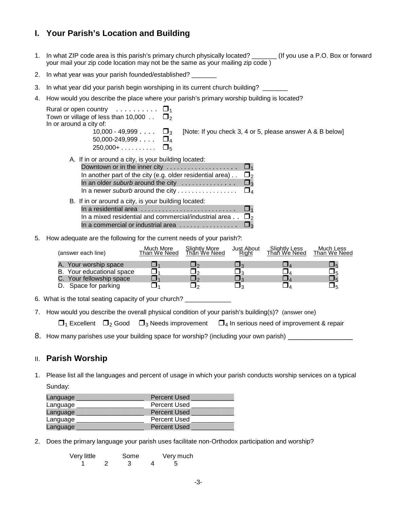### **I. Your Parish's Location and Building**

- 1. In what ZIP code area is this parish's primary church physically located? \_\_\_\_\_\_\_ (If you use a P.O. Box or forward your mail your zip code location may not be the same as your mailing zip code )
- 2. In what year was your parish founded/established?
- 3. In what year did your parish begin worshiping in its current church building? \_\_\_\_\_\_
- 4. How would you describe the place where your parish's primary worship building is located?

| Rural or open country $\ldots \ldots \ldots \square_1$<br>Town or village of less than 10,000 $\ldots$ $\square$ <sub>2</sub><br>In or around a city of:<br>10,000 - 49,999 $\dots$ $\square$ <sub>3</sub><br>50,000-249,999 $\ldots$ $\Box$ <sub>4</sub><br>$250,000+$ $\square_5$ | [Note: If you check 3, 4 or 5, please answer A & B below]              |
|-------------------------------------------------------------------------------------------------------------------------------------------------------------------------------------------------------------------------------------------------------------------------------------|------------------------------------------------------------------------|
| A. If in or around a city, is your building located:                                                                                                                                                                                                                                |                                                                        |
|                                                                                                                                                                                                                                                                                     |                                                                        |
|                                                                                                                                                                                                                                                                                     | In another part of the city (e.g. older residential area). $\square_2$ |

B. If in or around a city, is your building located: In a residential area . . . . . . . . . . . . . . . . . . . . . . . . . . . 1 In a mixed residential and commercial/industrial area  $\ldots$   $\Box_2$ In a commercial or industrial area  $\ldots \ldots \ldots \ldots \square_3$ 

In an older *suburb* around the city  $\dots\dots\dots\dots\dots \square_3$ In a newer *suburb* around the city  $\dots \dots \dots \dots \dots \dots \square_4$ 

5. How adequate are the following for the current needs of your parish?:

| (answer each line)        | Much More<br>Than We Need | Slightly More<br>Than We Need | Just About<br>Right | Slightly Less<br>Than We Need | Much Less<br>Than We Need |
|---------------------------|---------------------------|-------------------------------|---------------------|-------------------------------|---------------------------|
| A. Your worship space     |                           |                               |                     |                               |                           |
| B. Your educational space |                           |                               |                     |                               |                           |
| Your fellowship space     |                           |                               |                     |                               |                           |
| Space for parking<br>D.   |                           |                               |                     |                               |                           |

- 6. What is the total seating capacity of your church?
- 7. How would you describe the overall physical condition of your parish's building(s)? (answer one)

|  |  |  | $\Box_1$ Excellent $\Box_2$ Good $\Box_3$ Needs improvement $\Box_4$ In serious need of improvement & repair |
|--|--|--|--------------------------------------------------------------------------------------------------------------|
|--|--|--|--------------------------------------------------------------------------------------------------------------|

8. How many parishes use your building space for worship? (including your own parish)

#### II. **Parish Worship**

1. Please list all the languages and percent of usage in which your parish conducts worship services on a typical Sunday:

| Language | <b>Percent Used</b> |
|----------|---------------------|
| Language | <b>Percent Used</b> |
| Language | <b>Percent Used</b> |
| Language | Percent Used        |
| Language | <b>Percent Used</b> |

2. Does the primary language your parish uses facilitate non-Orthodox participation and worship?

| Very little | Some | Very much |
|-------------|------|-----------|
|             |      | . ს       |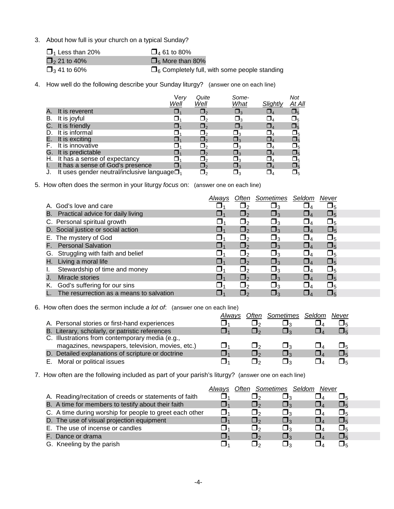3. About how full is your church on a typical Sunday?

| $\Box$ <sub>1</sub> Less than 20% | $\Box$ 4 61 to 80%                                  |
|-----------------------------------|-----------------------------------------------------|
| $\Box$ <sub>2</sub> 21 to 40%     | $\Box$ <sub>5</sub> More than 80%                   |
| $\Box$ <sub>3</sub> 41 to 60%     | $\Box_6$ Completely full, with some people standing |

4. How well do the following describe your Sunday liturgy? (answer one on each line)

|    |                                                               | Verv<br><u>Well</u> | Quite<br><u>Well</u> | Some-<br><b>What</b> |                                | Not<br>At All |
|----|---------------------------------------------------------------|---------------------|----------------------|----------------------|--------------------------------|---------------|
|    | It is reverent                                                |                     | $\square_2$          | $\square_3$          |                                | $\Box_5$      |
| В. | It is joyful                                                  |                     | $\mathsf{LJ}_2$      | ∝⊔                   | $\Box_{4}$                     | ⅃ҕ            |
|    | It is friendly                                                |                     | $\square_2$          | ⊔∢                   | $\Box_{4}$                     |               |
|    | It is informal                                                |                     |                      |                      | $\Box_{\scriptscriptstyle{A}}$ |               |
|    | E. It is exciting                                             |                     |                      |                      | $\Box_{4}$                     | $\Box_5$      |
|    | It is innovative                                              |                     |                      |                      | $\Box$                         |               |
| G. | It is predictable                                             |                     |                      |                      | $\Box_{4}$                     |               |
|    | H. It has a sense of expectancy                               |                     |                      |                      | ப⊿                             |               |
|    | It has a sense of God's presence                              |                     |                      |                      | $\Box$                         |               |
|    | It uses gender neutral/inclusive language $\Box$ <sub>1</sub> |                     |                      |                      |                                |               |

5. How often does the sermon in your liturgy *focus* on: (answer one on each line)

|    |                                          | Alwavs      | Often                 | Sometimes   | Seldom      | Never       |
|----|------------------------------------------|-------------|-----------------------|-------------|-------------|-------------|
|    | A. God's love and care                   | - 1         | ر⊔                    | $\square_3$ | $\sqcup_4$  | $\square_5$ |
|    | B. Practical advice for daily living     | □1          | $\mathbf{L}$          | $\square_3$ | $\Box_4$    | $\Box_5$    |
|    | C. Personal spiritual growth             | $\sqcup_1$  | $\sqcup$ <sub>2</sub> | $\square_3$ | $\Box$      | $\Box_5$    |
|    | D. Social justice or social action       | $\square_1$ | $\Box$                | $\Box_3$    | $\Box_4$    | $\Box_5$    |
|    | E. The mystery of God                    | ■1          | $\Box$ 2              | $\square_3$ | $\Box_4$    | $\Box_5$    |
|    | F. Personal Salvation                    | $\square_1$ | $\square_2$           | $\Box_3$    | $\Box_4$    | $\Box_5$    |
|    | G. Struggling with faith and belief      | $\Box$      | $\square$             | $\square_3$ | $\Box_4$    | $\Box_5$    |
|    | H. Living a moral life                   | $\square$ 1 | $\Box$                | $\square_3$ | $\square_4$ | $\Box_5$    |
|    | Stewardship of time and money            | $\Box$      | $\square$             | $\square_3$ | $\Box_4$    | $\Box_5$    |
|    | Miracle stories                          | $\square_1$ | $\Box$                | $\square_3$ | $\Box_4$    | $\Box_5$    |
| K. | God's suffering for our sins             | l la        | ط∟                    | $\square_3$ | $\Box$ a    | $\Box_5$    |
|    | The resurrection as a means to salvation | ■1          | ⊔っ                    | $\square_3$ | $\Box$      | $\Box$      |

6. How often does the sermon include *a lot of*: (answer one on each line)

|                                                   | Alwavs |                | Often Sometimes Seldom |              | Never    |
|---------------------------------------------------|--------|----------------|------------------------|--------------|----------|
| A. Personal stories or first-hand experiences     |        |                | ے ل                    |              |          |
| B. Literary, scholarly, or patristic references   |        | $\mathbf{L}$   | $\Box$                 |              |          |
| C. Illustrations from contemporary media (e.g.,   |        |                |                        |              |          |
| magazines, newspapers, television, movies, etc.)  |        | ∩ו             | ي ل                    |              |          |
| D. Detailed explanations of scripture or doctrine |        | $\blacksquare$ | $\Box_{\tiny{3}}$      | $\mathbf{L}$ | $\Box_5$ |
| E. Moral or political issues                      |        |                |                        |              |          |

7. How often are the following included as part of your parish's liturgy? (answer one on each line)

|                                                         | Alwavs           | Often Sometimes Seldom Never |             |                |          |
|---------------------------------------------------------|------------------|------------------------------|-------------|----------------|----------|
| A. Reading/recitation of creeds or statements of faith  |                  | - 12                         | ج ا         | $\overline{A}$ | J5.      |
| B. A time for members to testify about their faith      | $\blacksquare_4$ | $\Box$                       | $\square_3$ | $\mathsf{I}_4$ | $\Box_5$ |
| C. A time during worship for people to greet each other | ┓,               | ┓。                           | $\Box_3$    | $\Box$         | $\Box_5$ |
| D. The use of visual projection equipment               |                  | $\Box$                       | $\Box_3$    | $\Box$         |          |
| E. The use of incense or candles                        |                  | ⅂℩                           | $\Box_3$    | $\mathbf{I}$   | $\Box_5$ |
| F. Dance or drama                                       |                  | $\Box$                       | $\Box_3$    |                | $\Box_5$ |
| G. Kneeling by the parish                               |                  |                              |             |                |          |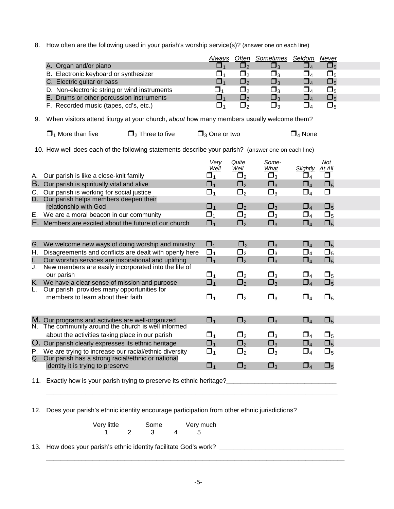8. How often are the following used in your parish's worship service(s)? (answer one on each line)

| 9.  | A. Organ and/or piano<br>B. Electronic keyboard or synthesizer<br>C. Electric guitar or bass<br>D. Non-electronic string or wind instruments<br>E. Drums or other percussion instruments<br>F. Recorded music (tapes, cd's, etc.)<br>When visitors attend liturgy at your church, about how many members usually welcome them? | <b>Always</b><br>$\Box_1$<br>$\Box_1$<br>$\Box_1$<br>$\Box_1$<br>$\Box_1$<br>$\Box_1$ | $\Box_2$<br>$\Box_2$<br>$\Box_2$<br>$\Box_2$<br>$\Box_2$<br>$\Box_2$ | Often Sometimes Seldom Never<br>$\Box_3$<br>$\Box_3$<br>$\Box_3$<br>$\Box_3$<br>$\Box_3$<br>$\Box_3$ | $\Box_4$<br>$\Box_4$<br>$\Box_4$<br>$\Box_4$<br>$\Box_4$<br>$\Box_4$ | $\Box_5$<br>$\Box_5$<br>$\Box_5$<br>$\Box_5$<br>$\Box_5$<br>$\Box_5$ |  |
|-----|--------------------------------------------------------------------------------------------------------------------------------------------------------------------------------------------------------------------------------------------------------------------------------------------------------------------------------|---------------------------------------------------------------------------------------|----------------------------------------------------------------------|------------------------------------------------------------------------------------------------------|----------------------------------------------------------------------|----------------------------------------------------------------------|--|
|     | $\Box_1$ More than five<br>$\Box_2$ Three to five<br>10. How well does each of the following statements describe your parish? (answer one on each line)                                                                                                                                                                        | $\Box_3$ One or two                                                                   |                                                                      |                                                                                                      | $\Box_4$ None                                                        |                                                                      |  |
|     | A. Our parish is like a close-knit family                                                                                                                                                                                                                                                                                      | Very<br>Well<br>$\Box_1$                                                              | Quite<br><u>Well</u><br>$\Box_2$                                     | Some-<br><u>What</u><br>$\Box_3$                                                                     | Slightly At All<br>$\Box_4$                                          | Not<br>$\Box$                                                        |  |
|     | B. Our parish is spiritually vital and alive                                                                                                                                                                                                                                                                                   | $\Box_1$                                                                              | $\Box_2$                                                             | $\Box_3$                                                                                             | $\Box_4$                                                             | $\Box_5$                                                             |  |
|     | C. Our parish is working for social justice                                                                                                                                                                                                                                                                                    | $\Box_1$                                                                              | $\Box_2$                                                             | $\Box_3$                                                                                             | $\Box_4$                                                             | $\Box$                                                               |  |
|     | D. Our parish helps members deepen their                                                                                                                                                                                                                                                                                       |                                                                                       |                                                                      |                                                                                                      |                                                                      |                                                                      |  |
|     | relationship with God                                                                                                                                                                                                                                                                                                          | $\Box_1$                                                                              | $\Box_2$                                                             | $\Box_3$                                                                                             | $\Box_4$                                                             | $\Box_5$                                                             |  |
|     | E. We are a moral beacon in our community                                                                                                                                                                                                                                                                                      | $\Box_1$                                                                              | $\Box_2$                                                             | $\Box_3$                                                                                             | $\Box_4$                                                             | $\Box_5$                                                             |  |
|     | F. Members are excited about the future of our church                                                                                                                                                                                                                                                                          | $\Box_1$                                                                              | $\Box_2$                                                             | $\Box_3$                                                                                             | $\Box_4$                                                             | $\Box_5$                                                             |  |
|     |                                                                                                                                                                                                                                                                                                                                |                                                                                       |                                                                      |                                                                                                      |                                                                      |                                                                      |  |
|     |                                                                                                                                                                                                                                                                                                                                |                                                                                       |                                                                      |                                                                                                      |                                                                      |                                                                      |  |
|     | G. We welcome new ways of doing worship and ministry                                                                                                                                                                                                                                                                           | $\Box_1$                                                                              | $\Box$                                                               | $\Box_3$                                                                                             | $\Box_4$                                                             | $\Box_5$                                                             |  |
|     | H. Disagreements and conflicts are dealt with openly here                                                                                                                                                                                                                                                                      | $\Box_1$                                                                              | $\Box_2$                                                             | $\Box_3$                                                                                             | $\Box_4$                                                             | $\Box_5$                                                             |  |
| I.  | Our worship services are inspirational and uplifting                                                                                                                                                                                                                                                                           | $\Box_1$                                                                              | $\Box_2$                                                             | $\Box_3$                                                                                             | $\Box_4$                                                             | $\square_5$                                                          |  |
| J.  | New members are easily incorporated into the life of<br>our parish                                                                                                                                                                                                                                                             | $\Box_1$                                                                              | $\Box_2$                                                             | $\Box_3$                                                                                             | $\Box_4$                                                             | $\Box_5$                                                             |  |
|     | K. We have a clear sense of mission and purpose                                                                                                                                                                                                                                                                                | $\Box_1$                                                                              | $\Box_2$                                                             | $\Box_3$                                                                                             | $\Box_4$                                                             | $\Box_5$                                                             |  |
| L.  | Our parish provides many opportunities for                                                                                                                                                                                                                                                                                     |                                                                                       |                                                                      |                                                                                                      |                                                                      |                                                                      |  |
|     | members to learn about their faith                                                                                                                                                                                                                                                                                             | $\Box_1$                                                                              | $\Box_2$                                                             | $\Box_3$                                                                                             | $\Box_4$                                                             | $\Box_5$                                                             |  |
|     |                                                                                                                                                                                                                                                                                                                                |                                                                                       |                                                                      |                                                                                                      |                                                                      |                                                                      |  |
|     |                                                                                                                                                                                                                                                                                                                                |                                                                                       |                                                                      |                                                                                                      |                                                                      |                                                                      |  |
|     | M. Our programs and activities are well-organized                                                                                                                                                                                                                                                                              | $\Box_1$                                                                              | $\Box_2$                                                             | $\Box_3$                                                                                             | $\Box_4$                                                             | $\Box_5$                                                             |  |
|     | N. The community around the church is well informed                                                                                                                                                                                                                                                                            |                                                                                       |                                                                      |                                                                                                      |                                                                      |                                                                      |  |
|     | about the activities taking place in our parish                                                                                                                                                                                                                                                                                | $\Box_1$                                                                              | $\Box_2$                                                             | $\Box_3$                                                                                             | $\square_4$                                                          | $\square_5$                                                          |  |
|     | $\mathrm O.$ Our parish clearly expresses its ethnic heritage                                                                                                                                                                                                                                                                  | $\Box_1$                                                                              | $\Box_2$                                                             | $\Box_3$                                                                                             | $\Box_4$                                                             | $\Box_5$                                                             |  |
| Ρ.  | We are trying to increase our racial/ethnic diversity                                                                                                                                                                                                                                                                          | $\Box_1$                                                                              | $\Box_2$                                                             | $\square_3$                                                                                          | $\Box_4$                                                             | $\Box_5$                                                             |  |
|     | Q. Our parish has a strong racial/ethnic or national                                                                                                                                                                                                                                                                           |                                                                                       |                                                                      |                                                                                                      |                                                                      |                                                                      |  |
|     | identity it is trying to preserve                                                                                                                                                                                                                                                                                              | $\Box_1$                                                                              | $\Box_2$                                                             | $\Box_3$                                                                                             | $\Box_4$                                                             | $\Box_5$                                                             |  |
| 11. | Exactly how is your parish trying to preserve its ethnic heritage?                                                                                                                                                                                                                                                             |                                                                                       |                                                                      |                                                                                                      |                                                                      |                                                                      |  |

12. Does your parish's ethnic identity encourage participation from other ethnic jurisdictions?

| Very little | Some | Very much |
|-------------|------|-----------|
|             |      | .h        |

13. How does your parish's ethnic identity facilitate God's work? \_\_\_\_\_\_\_\_\_\_\_\_\_\_\_\_\_\_\_\_\_\_\_\_\_\_\_\_\_\_\_\_\_\_\_

\_\_\_\_\_\_\_\_\_\_\_\_\_\_\_\_\_\_\_\_\_\_\_\_\_\_\_\_\_\_\_\_\_\_\_\_\_\_\_\_\_\_\_\_\_\_\_\_\_\_\_\_\_\_\_\_\_\_\_\_\_\_\_\_\_\_\_\_\_\_\_\_\_\_\_\_\_\_\_\_\_\_\_\_

\_\_\_\_\_\_\_\_\_\_\_\_\_\_\_\_\_\_\_\_\_\_\_\_\_\_\_\_\_\_\_\_\_\_\_\_\_\_\_\_\_\_\_\_\_\_\_\_\_\_\_\_\_\_\_\_\_\_\_\_\_\_\_\_\_\_\_\_\_\_\_\_\_\_\_\_\_\_\_\_\_\_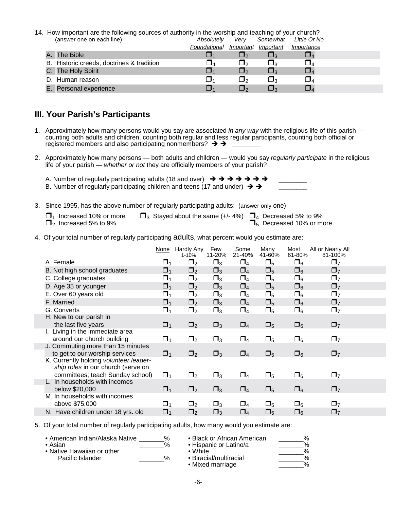| 14. How important are the following sources of authority in the worship and teaching of your church? |            |      |                       |
|------------------------------------------------------------------------------------------------------|------------|------|-----------------------|
| (answer one on each line)                                                                            | Absolutelv | Verv | Somewhat Little Or No |

|                                           | Foundational | Important | Important | Importance |  |
|-------------------------------------------|--------------|-----------|-----------|------------|--|
| A. The Bible                              |              |           |           |            |  |
| B. Historic creeds, doctrines & tradition |              |           |           |            |  |
| C. The Holy Spirit                        |              |           |           |            |  |
| D. Human reason                           |              |           |           |            |  |
| E. Personal experience                    |              |           |           |            |  |

#### **III. Your Parish's Participants**

- 1. Approximately how many persons would you say are associated *in any way* with the religious life of this parish counting both adults and children, counting both regular and less regular participants, counting both official or registered members and also participating nonmembers?  $\rightarrow$   $\rightarrow$
- 2. Approximately how many persons both adults and children would you say *regularly participate* in the religious life of your parish — *whether or not* they are officially members of your parish?

| A. Number of regularly participating adults (18 and over) $\rightarrow$ $\rightarrow$ $\rightarrow$ $\rightarrow$ $\rightarrow$ $\rightarrow$ |  |
|-----------------------------------------------------------------------------------------------------------------------------------------------|--|
| B. Number of regularly participating children and teens (17 and under) $\rightarrow \rightarrow$                                              |  |

- 3. Since 1995, has the above number of regularly participating adults: (answer only one)
	- $\Box_1$  Increased 10% or more  $\Box_3$  Stayed about the same (+/- 4%)  $\Box_4$  Decreased 5% to 9%  $\Box_2$  Increased 10% or m  $\Box_5$  Decreased 10% or more
- 4. Of your total number of regularly participating adults, what percent would you estimate are:

|                                                                              | None        | Hardly Any<br>1-10% | Few<br>11-20% | Some<br>21-40% | Many<br>41-60% | Most<br>61-80% | All or Nearly All<br>81-100% |
|------------------------------------------------------------------------------|-------------|---------------------|---------------|----------------|----------------|----------------|------------------------------|
| A. Female                                                                    | $\square_1$ | $\Box_2$            | $\square_3$   | $\Box_4$       | $\square_5$    | $\square_6$    | $\square_7$                  |
| B. Not high school graduates                                                 | $\Box_1$    | $\Box_2$            | $\Box_3$      | $\Box_4$       | $\Box_5$       | $\Box_6$       | $\Box$ 7                     |
| C. College graduates                                                         | $\Box_1$    | $\Box_2$            | $\square_3$   | $\square_4$    | $\Box_5$       | $\square_6$    | $\Box$ 7                     |
| D. Age 35 or younger                                                         | $\Box_1$    | $\Box_2$            | $\Box_3$      | $\Box_4$       | $\Box_5$       | $\square_6$    | $\Box$ 7                     |
| E. Over 60 years old                                                         | $\Box_1$    | $\Box_2$            | $\square_3$   | $\square_4$    | $\square_5$    | $\square_6$    | $\square_7$                  |
| F. Married                                                                   | $\Box_1$    | $\Box_2$            | $\Box_3$      | $\Box_4$       | $\Box_5$       | $\Box_6$       | $\Box$ 7                     |
| G. Converts                                                                  | $\Box_1$    | $\Box_2$            | $\Box_3$      | $\Box_4$       | $\Box_5$       | $\square_6$    | $\Box_7$                     |
| H. New to our parish in<br>the last five years                               | $\Box_1$    | $\Box_2$            | $\Box_3$      | $\Box_4$       | $\Box_5$       | $\square_6$    | $\Box$ 7                     |
| I. Living in the immediate area<br>around our church building                | $\Box_1$    | $\Box_2$            | $\Box_3$      | $\Box_4$       | $\Box_5$       | $\square_6$    | $\Box_7$                     |
| J. Commuting more than 15 minutes<br>to get to our worship services          | $\Box_1$    | $\Box_2$            | $\square_3$   | $\square_4$    | $\square_5$    | $\square_6$    | $\Box$ 7                     |
| K. Currently holding volunteer leader-<br>ship roles in our church (serve on |             |                     |               |                |                |                |                              |
| committees; teach Sunday school)                                             | $\Box_1$    | $\Box_2$            | $\Box_3$      | $\Box_4$       | $\Box_5$       | $\square_6$    | $\Box_7$                     |
| In households with incomes<br>below \$20,000                                 | $\Box_1$    | $\Box_2$            | $\square_3$   | $\square_4$    | $\square_5$    | $\square_6$    | $\Box$ 7                     |
| M. In households with incomes<br>above \$75,000                              | $\Box_1$    | $\Box_2$            | $\square_3$   | $\square_4$    | $\square_5$    | $\square_6$    | $\Box$ 7                     |
| N. Have children under 18 yrs. old                                           | $\Box_1$    | $\Box_2$            | $\square_3$   | $\square_4$    | $\Box_5$       | $\square_6$    | $\square_7$                  |

5. Of your total number of regularly participating adults, how many would you estimate are:

| • American Indian/Alaska Native<br>%<br>$\%$<br>$\bullet$ Asian | • Black or African American<br>• Hispanic or Latino/a | %<br>%                         |
|-----------------------------------------------------------------|-------------------------------------------------------|--------------------------------|
| • Native Hawaiian or other<br>Pacific Islander<br>$\%$          | $\bullet$ White<br>• Biracial/multiracial             | $\frac{1}{2}$<br>$\frac{1}{2}$ |
|                                                                 | • Mixed marriage                                      | %                              |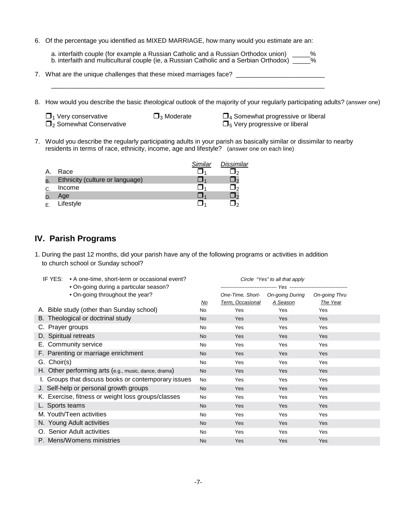6. Of the percentage you identified as MIXED MARRIAGE, how many would you estimate are an:

\_\_\_\_\_\_\_\_\_\_\_\_\_\_\_\_\_\_\_\_\_\_\_\_\_\_\_\_\_\_\_\_\_\_\_\_\_\_\_\_\_\_\_\_\_\_\_\_\_\_\_\_\_\_\_\_\_\_\_\_\_\_\_\_\_\_\_\_\_\_\_\_\_\_\_\_\_

- 7. What are the unique challenges that these mixed marriages face? \_\_\_\_\_\_\_\_\_\_\_\_\_\_\_\_\_\_\_\_\_\_\_\_\_
- 8. How would you describe the basic *theological* outlook of the majority of your regularly participating adults? (answer one)
	- $\Box_1$  Very conservative  $\Box_3$  Moderate  $\Box_4$  Somewhat progressive or liberal  $\Box_2$  Somewhat Conservative  $\Box_3$  Moderate  $\Box_5$  Very progressive or liberal

 $\Box_5$  Very progressive or liberal

7. Would you describe the regularly participating adults in your parish as basically similar or dissimilar to nearby residents in terms of race, ethnicity, income, age and lifestyle? (answer one on each line)

|                                 | Similar | Dissimilar |
|---------------------------------|---------|------------|
| Race                            |         | - ר        |
| Ethnicity (culture or language) |         |            |
| Income                          |         |            |
| Age                             |         |            |
| Lifestyle                       |         |            |

#### **IV. Parish Programs**

1. During the past 12 months, did your parish have any of the following programs or activities in addition to church school or Sunday school?

| IF YES:<br>• A one-time, short-term or occasional event? |           |                  | Circle "Yes" to all that apply |               |
|----------------------------------------------------------|-----------|------------------|--------------------------------|---------------|
| . On-going during a particular season?                   |           |                  |                                |               |
| • On-going throughout the year?                          |           | One-Time, Short- | On-going During                | On-going Thru |
|                                                          | <u>No</u> | Term, Occasional | A Season                       | The Year      |
| A. Bible study (other than Sunday school)                | No        | Yes              | Yes                            | Yes           |
| B. Theological or doctrinal study                        | <b>No</b> | Yes              | Yes                            | Yes           |
| C. Prayer groups                                         | <b>No</b> | Yes              | Yes                            | Yes           |
| D. Spiritual retreats                                    | <b>No</b> | Yes              | Yes                            | <b>Yes</b>    |
| E. Community service                                     | <b>No</b> | Yes              | Yes                            | Yes           |
| F. Parenting or marriage enrichment                      | <b>No</b> | Yes              | Yes                            | Yes           |
| G. Choir(s)                                              | <b>No</b> | Yes              | Yes                            | Yes           |
| H. Other performing arts (e.g., music, dance, drama)     | No        | Yes              | Yes                            | Yes           |
| I. Groups that discuss books or contemporary issues      | No        | Yes              | Yes                            | Yes           |
| J. Self-help or personal growth groups                   | <b>No</b> | Yes              | Yes                            | Yes           |
| K. Exercise, fitness or weight loss groups/classes       | No        | Yes              | Yes                            | Yes           |
| L. Sports teams                                          | <b>No</b> | <b>Yes</b>       | Yes                            | <b>Yes</b>    |
| M. Youth/Teen activities                                 | <b>No</b> | Yes              | Yes                            | Yes           |
| N. Young Adult activities                                | <b>No</b> | Yes              | Yes                            | Yes           |
| O. Senior Adult activities                               | <b>No</b> | Yes              | Yes                            | Yes           |
| P. Mens/Womens ministries                                | <b>No</b> | Yes              | Yes                            | Yes           |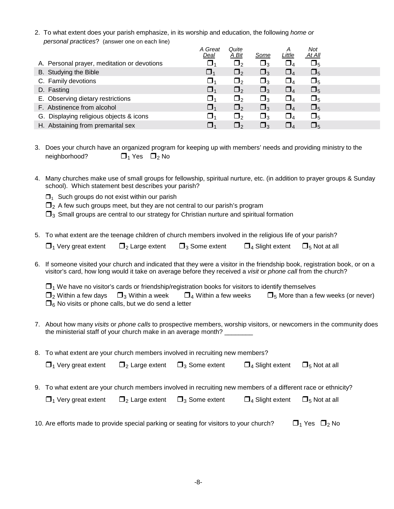2. To what extent does your parish emphasize, in its worship and education, the following *home or personal practices*? (answer one on each line)

|                                             | A Great<br>Deal | Quite<br>A Bit | Some        | А<br>Little | Not<br><u>At All</u> |  |
|---------------------------------------------|-----------------|----------------|-------------|-------------|----------------------|--|
| A. Personal prayer, meditation or devotions | $\Box_1$        | $\Box_2$       | $\square_3$ | $\square_4$ | $\square_5$          |  |
| B. Studying the Bible                       | $\Box_1$        | $\Box_2$       | $\Box_3$    | $\square_4$ | $\square_5$          |  |
| C. Family devotions                         | $\Box_1$        | $\Box_2$       | $\square_3$ | $\square_4$ | $\square_5$          |  |
| D. Fasting                                  | $\Box_1$        | $\Box$         | $\Box_3$    | $\square_4$ | $\square_5$          |  |
| E. Observing dietary restrictions           | $\Box_1$        | $\Box_2$       | $\Box_3$    | $\sqcup_4$  | $\square_5$          |  |
| F. Abstinence from alcohol                  | $\Box_1$        | $\Box$         | $\Box_3$    | $\square_4$ | $\Box_5$             |  |
| G. Displaying religious objects & icons     | $\Box_1$        | $\Box$         | $\Box_3$    | $\bigsqcup$ | $\square_5$          |  |
| H. Abstaining from premarital sex           | $\square_1$     | $\Box_2$       | $\Box_3$    | $\bigsqcup$ | $\square_5$          |  |

- 3. Does your church have an organized program for keeping up with members' needs and providing ministry to the neighborhood?  $\Box_1$  Yes  $\Box_2$  No
- 4. Many churches make use of small groups for fellowship, spiritual nurture, etc. (in addition to prayer groups & Sunday school). Which statement best describes your parish?
	- $\Box_1$  Such groups do not exist within our parish
	- $\Box_2$  A few such groups meet, but they are not central to our parish's program
	- $\square_3$  Small groups are central to our strategy for Christian nurture and spiritual formation
- 5. To what extent are the teenage children of church members involved in the religious life of your parish?  $\Box_1$  Very great extent  $\Box_2$  Large extent  $\Box_3$  Some extent  $\Box_4$  Slight extent  $\Box_5$  Not at all
- 6. If someone visited your church and indicated that they were a visitor in the friendship book, registration book, or on a visitor's card, how long would it take on average before they received a *visit* or *phone call* from the church?

| $\Box$ <sub>1</sub> We have no visitor's cards or friendship/registration books for visitors to identify themselves |  |                                |                                           |  |  |  |  |  |
|---------------------------------------------------------------------------------------------------------------------|--|--------------------------------|-------------------------------------------|--|--|--|--|--|
| $\Box$ <sub>2</sub> Within a few days $\Box$ <sub>3</sub> Within a week                                             |  | $\square_4$ Within a few weeks | $\Box_5$ More than a few weeks (or never) |  |  |  |  |  |
| $\Box_6$ No visits or phone calls, but we do send a letter                                                          |  |                                |                                           |  |  |  |  |  |

- 7. About how many *visits* or *phone calls* to prospective members, worship visitors, or newcomers in the community does the ministerial staff of your church make in an average month?
- 8. To what extent are your church members involved in recruiting new members?

| $\Box_4$ Slight extent $\Box_5$ Not at all<br>$\Box_1$ Very great extent $\Box_2$ Large extent $\Box_3$ Some extent |
|---------------------------------------------------------------------------------------------------------------------|
|---------------------------------------------------------------------------------------------------------------------|

9. To what extent are your church members involved in recruiting new members of a different race or ethnicity?

| $\Box_1$ Very great extent | $\Box$ <sub>2</sub> Large extent $\Box$ <sub>3</sub> Some extent | $\Box_4$ Slight extent $\Box_5$ Not at all |  |
|----------------------------|------------------------------------------------------------------|--------------------------------------------|--|
|                            |                                                                  |                                            |  |

10. Are efforts made to provide special parking or seating for visitors to your church?  $\square_1$  Yes  $\square_2$  No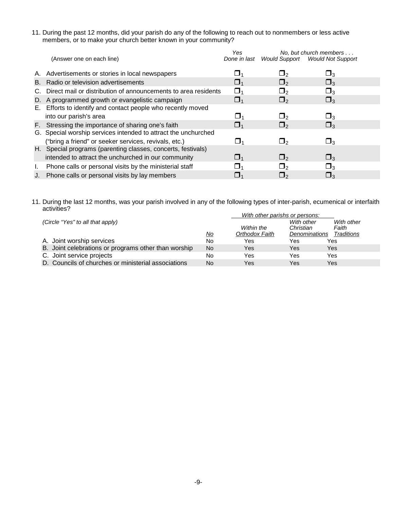11. During the past 12 months, did your parish do any of the following to reach out to nonmembers or less active members, or to make your church better known in your community?

|    | (Answer one on each line)                                         | Yes<br>Done in last | <b>Would Support</b> | No, but church members<br><b>Would Not Support</b> |  |
|----|-------------------------------------------------------------------|---------------------|----------------------|----------------------------------------------------|--|
|    | A. Advertisements or stories in local newspapers                  | ┚                   | $\Box$ 2             | $\square_3$                                        |  |
|    | B. Radio or television advertisements                             | $\square_1$         | $\square_2$          | $\square_3$                                        |  |
|    | C. Direct mail or distribution of announcements to area residents | $\Box_1$            | $\Box$ 2             | $\square_3$                                        |  |
|    | D. A programmed growth or evangelistic campaign                   | $\sqcup_1$          | $\mathsf{L}$         | $\square_3$                                        |  |
|    | E. Efforts to identify and contact people who recently moved      |                     |                      |                                                    |  |
|    | into our parish's area                                            | □1                  | $\Box$               | $\square_3$                                        |  |
|    | F. Stressing the importance of sharing one's faith                | $\Box$ <sub>1</sub> | $\Box$ 2             | $\square_3$                                        |  |
|    | G. Special worship services intended to attract the unchurched    |                     |                      |                                                    |  |
|    | ("bring a friend" or seeker services, revivals, etc.)             | □・                  | $\Box_2$             | $\square_3$                                        |  |
|    | H. Special programs (parenting classes, concerts, festivals)      |                     |                      |                                                    |  |
|    | intended to attract the unchurched in our community               | $\square$           | $\square_2$          | $\square_3$                                        |  |
| ι. | Phone calls or personal visits by the ministerial staff           |                     | ⊔⇒                   | $\square_3$                                        |  |
| J. | Phone calls or personal visits by lay members                     |                     | $\mathsf{L}_{2}$     | $\Box_3$                                           |  |

11. During the last 12 months, was your parish involved in any of the following types of inter-parish, ecumenical or interfaith activities?

|                                                      | With other parishs or persons: |                |               |                   |
|------------------------------------------------------|--------------------------------|----------------|---------------|-------------------|
| (Circle "Yes" to all that apply)                     |                                |                | With other    | With other        |
|                                                      |                                | Within the     | Christian     | Faith             |
|                                                      | <u>No</u>                      | Orthodox Faith | Denominations | <b>Traditions</b> |
| A. Joint worship services                            | No                             | Yes            | Yes           | Yes               |
| B. Joint celebrations or programs other than worship | <b>No</b>                      | Yes            | Yes           | Yes               |
| C. Joint service projects                            | No                             | Yes            | Yes           | Yes               |
| D. Councils of churches or ministerial associations  | No                             | Yes            | Yes           | Yes               |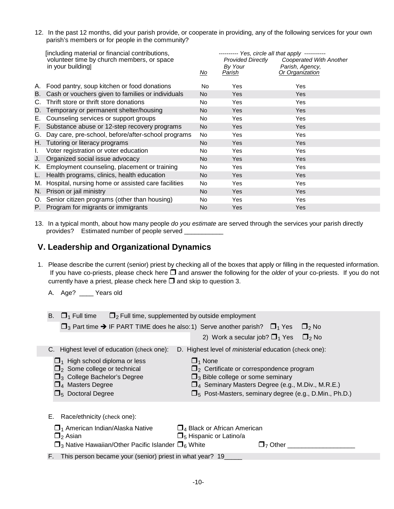12. In the past 12 months, did your parish provide, or cooperate in providing, any of the following services for your own parish's members or for people in the community?

|    | fincluding material or financial contributions,<br>volunteer time by church members, or space<br>in your building] | No        | ---------- Yes, circle all that apply -----------<br><b>Provided Directly</b><br>By Your<br>Parish | Cooperated With Another<br>Parish, Agency,<br>Or Organization |
|----|--------------------------------------------------------------------------------------------------------------------|-----------|----------------------------------------------------------------------------------------------------|---------------------------------------------------------------|
| А. | Food pantry, soup kitchen or food donations                                                                        | No.       | Yes                                                                                                | Yes                                                           |
| B. | Cash or vouchers given to families or individuals                                                                  | <b>No</b> | <b>Yes</b>                                                                                         | Yes                                                           |
| C. | Thrift store or thrift store donations                                                                             | No        | Yes                                                                                                | Yes                                                           |
|    | D. Temporary or permanent shelter/housing                                                                          | No.       | <b>Yes</b>                                                                                         | Yes                                                           |
| Е. | Counseling services or support groups                                                                              | No.       | Yes                                                                                                | Yes                                                           |
| F. | Substance abuse or 12-step recovery programs                                                                       | <b>No</b> | <b>Yes</b>                                                                                         | Yes                                                           |
| G. | Day care, pre-school, before/after-school programs                                                                 | No.       | Yes                                                                                                | Yes                                                           |
|    | H. Tutoring or literacy programs                                                                                   | <b>No</b> | <b>Yes</b>                                                                                         | Yes                                                           |
| L. | Voter registration or voter education                                                                              | No.       | <b>Yes</b>                                                                                         | Yes                                                           |
| J. | Organized social issue advocacy                                                                                    | <b>No</b> | <b>Yes</b>                                                                                         | Yes                                                           |
| K. | Employment counseling, placement or training                                                                       | No.       | Yes                                                                                                | Yes                                                           |
| L. | Health programs, clinics, health education                                                                         | <b>No</b> | <b>Yes</b>                                                                                         | Yes                                                           |
| М. | Hospital, nursing home or assisted care facilities                                                                 | No        | Yes                                                                                                | Yes                                                           |
| N. | Prison or jail ministry                                                                                            | <b>No</b> | <b>Yes</b>                                                                                         | Yes                                                           |
| O. | Senior citizen programs (other than housing)                                                                       | No        | Yes                                                                                                | Yes                                                           |
|    | P. Program for migrants or immigrants                                                                              | No.       | <b>Yes</b>                                                                                         | <b>Yes</b>                                                    |

13. In a typical month, about how many people *do you estimate* are served through the services your parish directly provides? Estimated number of people served \_\_\_\_\_\_\_\_\_\_

#### **V. Leadership and Organizational Dynamics**

- 1. Please describe the current (senior) priest by checking all of the boxes that apply or filling in the requested information. If you have co-priests, please check here  $\Box$  and answer the following for the *older* of your co-priests. If you do not currently have a priest, please check here  $\square$  and skip to question 3.
	- A. Age? \_\_\_\_ Years old

| $\Box_1$ Full time<br>$\Box$ <sub>2</sub> Full time, supplemented by outside employment<br>B.                                                                                                    |                                                                                                                                                                                                                                                     |  |  |  |  |  |  |
|--------------------------------------------------------------------------------------------------------------------------------------------------------------------------------------------------|-----------------------------------------------------------------------------------------------------------------------------------------------------------------------------------------------------------------------------------------------------|--|--|--|--|--|--|
| $\square$ <sub>3</sub> Part time $\rightarrow$ IF PART TIME does he also: 1) Serve another parish?                                                                                               | $\Box_2$ No<br>$\Box_1$ Yes                                                                                                                                                                                                                         |  |  |  |  |  |  |
|                                                                                                                                                                                                  | 2) Work a secular job? $\Box_1$ Yes<br>$\Box_2$ No                                                                                                                                                                                                  |  |  |  |  |  |  |
| C. Highest level of education (check one):                                                                                                                                                       | D. Highest level of <i>ministerial</i> education (check one):                                                                                                                                                                                       |  |  |  |  |  |  |
| $\Box_1$ High school diploma or less<br>$\Box$ <sub>2</sub> Some college or technical<br>$\square$ <sub>3</sub> College Bachelor's Degree<br>$\Box_4$ Masters Degree<br>$\Box_5$ Doctoral Degree | $\Box_1$ None<br>$\Box_2$ Certificate or correspondence program<br>$\square$ <sub>3</sub> Bible college or some seminary<br>$\Box_4$ Seminary Masters Degree (e.g., M.Div., M.R.E.)<br>$\Box_5$ Post-Masters, seminary degree (e.g., D.Min., Ph.D.) |  |  |  |  |  |  |
| E. Race/ethnicity (check one):                                                                                                                                                                   |                                                                                                                                                                                                                                                     |  |  |  |  |  |  |
| $\Box$ <sub>1</sub> American Indian/Alaska Native<br>$\Box_2$ Asian<br>$\square_3$ Native Hawaiian/Other Pacific Islander $\square_6$ White                                                      | $\Box_4$ Black or African American<br>$\square$ <sub>5</sub> Hispanic or Latino/a<br>$\Box$ 7 Other                                                                                                                                                 |  |  |  |  |  |  |
| This person became your (senior) priest in what year? 19<br>E.                                                                                                                                   |                                                                                                                                                                                                                                                     |  |  |  |  |  |  |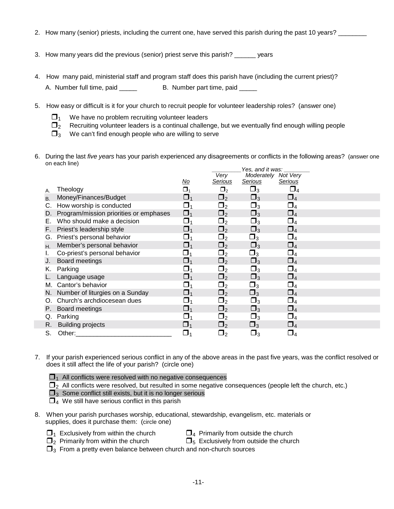- 2. How many (senior) priests, including the current one, have served this parish during the past 10 years?
- 3. How many years did the previous (senior) priest serve this parish? \_\_\_\_\_\_ years
- 4. How many paid, ministerial staff and program staff does this parish have (including the current priest)? A. Number full time, paid \_\_\_\_\_ B. Number part time, paid \_\_\_\_
- 5. How easy or difficult is it for your church to recruit people for volunteer leadership roles? (answer one)
	- $\Box$ <sub>1</sub> We have no problem recruiting volunteer leaders
	- $\Box$ <sub>2</sub> Recruiting volunteer leaders is a continual challenge, but we eventually find enough willing people
	- $\Box_3$  We can't find enough people who are willing to serve
- 6. During the last *five years* has your parish experienced any disagreements or conflicts in the following areas? (answer one on each line) *\_\_\_\_\_\_\_\_\_Yes, and it was: \_\_\_\_\_\_\_\_*

|           |                                        |             |                        | res, and it was. |                                       |
|-----------|----------------------------------------|-------------|------------------------|------------------|---------------------------------------|
|           |                                        | <u>No</u>   | Verv<br><u>Serious</u> | <b>Serious</b>   | Moderately Not Very<br><b>Serious</b> |
| А.        | Theology                               | $\Box_1$    | $\Box_2$               | $\square_3$      | $\Box_4$                              |
| <b>B.</b> | Money/Finances/Budget                  | $\Box_1$    | $\Box_2$               | $\Box_3$         | $\Box_4$                              |
| C.        | How worship is conducted               | $\Box_1$    | $\Box_2$               | $\Box_3$         | $\Box_4$                              |
| D.        | Program/mission priorities or emphases | $\Box_1$    | $\square_2$            | $\Box_3$         | $\Box_4$                              |
| Е.        | Who should make a decision             | $\Box_1$    | $\Box_2$               | $\Box_3$         | $\Box_4$                              |
| F.        | Priest's leadership style              | $\square_1$ | $\Box_2$               | $\Box_3$         | $\Box_4$                              |
|           | G. Priest's personal behavior          |             | $\Box_2$               | $\Box_3$         | $\Box_4$                              |
| Η.        | Member's personal behavior             | $\square$ 1 | $\square_2$            | $\Box_3$         | $\Box_4$                              |
|           | Co-priest's personal behavior          | $\sqcup_1$  | $\square_2$            | $\square_3$      | $\Box_4$                              |
| J.        | Board meetings                         | $\Box$ 1    | $\Box_2$               | $\Box_3$         | $\Box_4$                              |
| Κ.        | Parking                                | $\Box_4$    | $\Box_2$               | $\square_3$      | $\Box_4$                              |
|           | Language usage                         | $\square$   | $\Box$                 | $\square_3$      | $\Box_4$                              |
| M.        | Cantor's behavior                      |             | $\square_2$            | $\Box_3$         | $\Box_4$                              |
|           | N. Number of liturgies on a Sunday     | $\square_1$ | $\Box_2$               | $\Box_3$         | $\Box_4$                              |
|           | Church's archdiocesean dues            | $\Box_1$    | $\Box_2$               | $\Box_3$         | $\Box_4$                              |
|           | P. Board meetings                      | $\Box_1$    | $\square_2$            | $\Box_3$         | $\Box_4$                              |
| Q.        | Parking                                | $\Box_1$    | $\square_2$            | $\Box_3$         | $\square_4$                           |
| R.        | <b>Building projects</b>               | $\square_1$ | $\Box_2$               | $\square_3$      | $\Box_4$                              |
| S.        | Other:                                 | $\Box_1$    | $\square_2$            | $\square_3$      | $\Box_4$                              |

- 7. If your parish experienced serious conflict in any of the above areas in the past five years, was the conflict resolved or does it still affect the life of your parish? (circle one)
	- $\Box$ <sub>1</sub> All conflicts were resolved with no negative consequences
	- $\Box_2$  All conflicts were resolved, but resulted in some negative consequences (people left the church, etc.)
	- $\Box_3$  Some conflict still exists, but it is no longer serious
	- $\Box_4$  We still have serious conflict in this parish
- 8. When your parish purchases worship, educational, stewardship, evangelism, etc. materials or supplies, does it purchase them: (circle one)
	- $\Box_1$  Exclusively from within the church  $\Box_4$  Primarily from outside the church
		-
	- $\Box_2$  Primarily from within the church  $\Box_5$  Exclusively from outside the church
- - $\Box$ <sub>3</sub> From a pretty even balance between church and non-church sources